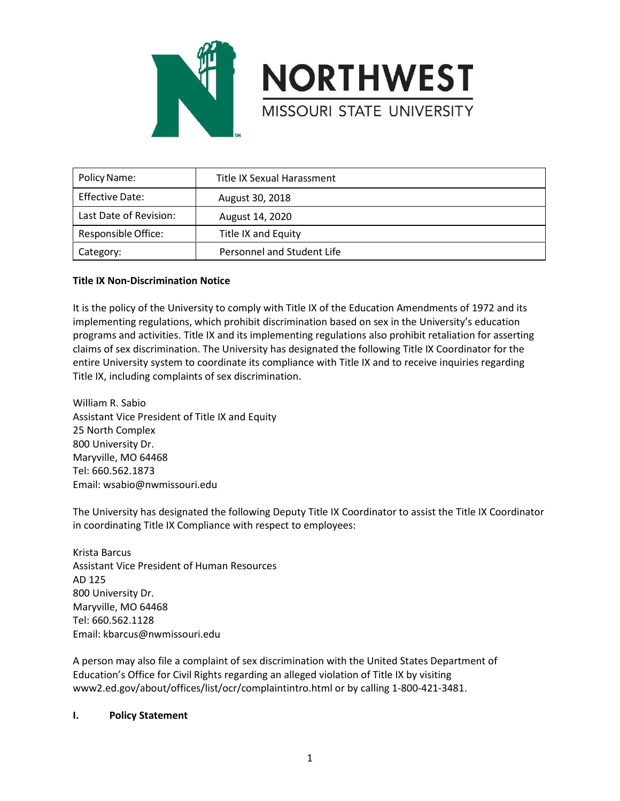



| Policy Name:           | Title IX Sexual Harassment |
|------------------------|----------------------------|
| Effective Date:        | August 30, 2018            |
| Last Date of Revision: | August 14, 2020            |
| Responsible Office:    | Title IX and Equity        |
| Category:              | Personnel and Student Life |

## **Title IX Non-Discrimination Notice**

It is the policy of the University to comply with Title IX of the Education Amendments of 1972 and its implementing regulations, which prohibit discrimination based on sex in the University's education programs and activities. Title IX and its implementing regulations also prohibit retaliation for asserting claims of sex discrimination. The University has designated the following Title IX Coordinator for the entire University system to coordinate its compliance with Title IX and to receive inquiries regarding Title IX, including complaints of sex discrimination.

William R. Sabio Assistant Vice President of Title IX and Equity 25 North Complex 800 University Dr. Maryville, MO 64468 Tel: 660.562.1873 Email: wsabio@nwmissouri.edu

The University has designated the following Deputy Title IX Coordinator to assist the Title IX Coordinator in coordinating Title IX Compliance with respect to employees:

Krista Barcus Assistant Vice President of Human Resources AD 125 800 University Dr. Maryville, MO 64468 Tel: 660.562.1128 Email: kbarcus@nwmissouri.edu

A person may also file a complaint of sex discrimination with the United States Department of Education's Office for Civil Rights regarding an alleged violation of Title IX by visiting www2.ed.gov/about/offices/list/ocr/complaintintro.html or by calling 1-800-421-3481.

## **I. Policy Statement**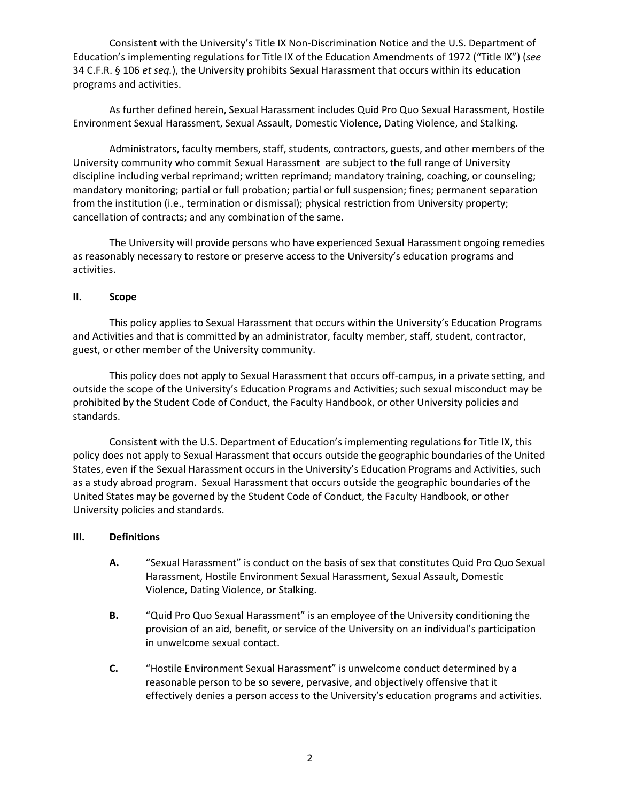Consistent with the University's Title IX Non-Discrimination Notice and the U.S. Department of Education's implementing regulations for Title IX of the Education Amendments of 1972 ("Title IX") (*see* 34 C.F.R. § 106 *et seq.*), the University prohibits Sexual Harassment that occurs within its education programs and activities.

As further defined herein, Sexual Harassment includes Quid Pro Quo Sexual Harassment, Hostile Environment Sexual Harassment, Sexual Assault, Domestic Violence, Dating Violence, and Stalking.

Administrators, faculty members, staff, students, contractors, guests, and other members of the University community who commit Sexual Harassment are subject to the full range of University discipline including verbal reprimand; written reprimand; mandatory training, coaching, or counseling; mandatory monitoring; partial or full probation; partial or full suspension; fines; permanent separation from the institution (i.e., termination or dismissal); physical restriction from University property; cancellation of contracts; and any combination of the same.

The University will provide persons who have experienced Sexual Harassment ongoing remedies as reasonably necessary to restore or preserve access to the University's education programs and activities.

### **II. Scope**

This policy applies to Sexual Harassment that occurs within the University's Education Programs and Activities and that is committed by an administrator, faculty member, staff, student, contractor, guest, or other member of the University community.

This policy does not apply to Sexual Harassment that occurs off-campus, in a private setting, and outside the scope of the University's Education Programs and Activities; such sexual misconduct may be prohibited by the Student Code of Conduct, the Faculty Handbook, or other University policies and standards.

Consistent with the U.S. Department of Education's implementing regulations for Title IX, this policy does not apply to Sexual Harassment that occurs outside the geographic boundaries of the United States, even if the Sexual Harassment occurs in the University's Education Programs and Activities, such as a study abroad program. Sexual Harassment that occurs outside the geographic boundaries of the United States may be governed by the Student Code of Conduct, the Faculty Handbook, or other University policies and standards.

#### **III. Definitions**

- **A.** "Sexual Harassment" is conduct on the basis of sex that constitutes Quid Pro Quo Sexual Harassment, Hostile Environment Sexual Harassment, Sexual Assault, Domestic Violence, Dating Violence, or Stalking.
- **B.** "Quid Pro Quo Sexual Harassment" is an employee of the University conditioning the provision of an aid, benefit, or service of the University on an individual's participation in unwelcome sexual contact.
- **C.** "Hostile Environment Sexual Harassment" is unwelcome conduct determined by a reasonable person to be so severe, pervasive, and objectively offensive that it effectively denies a person access to the University's education programs and activities.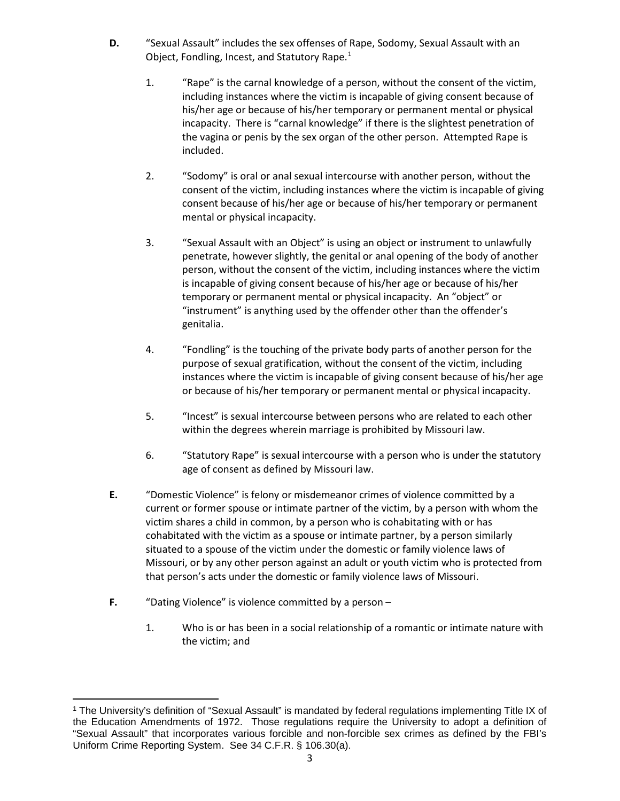- **D.** "Sexual Assault" includes the sex offenses of Rape, Sodomy, Sexual Assault with an Object, Fondling, Incest, and Statutory Rape. $1$ 
	- 1. "Rape" is the carnal knowledge of a person, without the consent of the victim, including instances where the victim is incapable of giving consent because of his/her age or because of his/her temporary or permanent mental or physical incapacity. There is "carnal knowledge" if there is the slightest penetration of the vagina or penis by the sex organ of the other person. Attempted Rape is included.
	- 2. "Sodomy" is oral or anal sexual intercourse with another person, without the consent of the victim, including instances where the victim is incapable of giving consent because of his/her age or because of his/her temporary or permanent mental or physical incapacity.
	- 3. "Sexual Assault with an Object" is using an object or instrument to unlawfully penetrate, however slightly, the genital or anal opening of the body of another person, without the consent of the victim, including instances where the victim is incapable of giving consent because of his/her age or because of his/her temporary or permanent mental or physical incapacity. An "object" or "instrument" is anything used by the offender other than the offender's genitalia.
	- 4. "Fondling" is the touching of the private body parts of another person for the purpose of sexual gratification, without the consent of the victim, including instances where the victim is incapable of giving consent because of his/her age or because of his/her temporary or permanent mental or physical incapacity.
	- 5. "Incest" is sexual intercourse between persons who are related to each other within the degrees wherein marriage is prohibited by Missouri law.
	- 6. "Statutory Rape" is sexual intercourse with a person who is under the statutory age of consent as defined by Missouri law.
- **E.** "Domestic Violence" is felony or misdemeanor crimes of violence committed by a current or former spouse or intimate partner of the victim, by a person with whom the victim shares a child in common, by a person who is cohabitating with or has cohabitated with the victim as a spouse or intimate partner, by a person similarly situated to a spouse of the victim under the domestic or family violence laws of Missouri, or by any other person against an adult or youth victim who is protected from that person's acts under the domestic or family violence laws of Missouri.
- **F.** "Dating Violence" is violence committed by a person
	- 1. Who is or has been in a social relationship of a romantic or intimate nature with the victim; and

<span id="page-2-0"></span><sup>1</sup> The University's definition of "Sexual Assault" is mandated by federal regulations implementing Title IX of the Education Amendments of 1972. Those regulations require the University to adopt a definition of "Sexual Assault" that incorporates various forcible and non-forcible sex crimes as defined by the FBI's Uniform Crime Reporting System. See 34 C.F.R. § 106.30(a).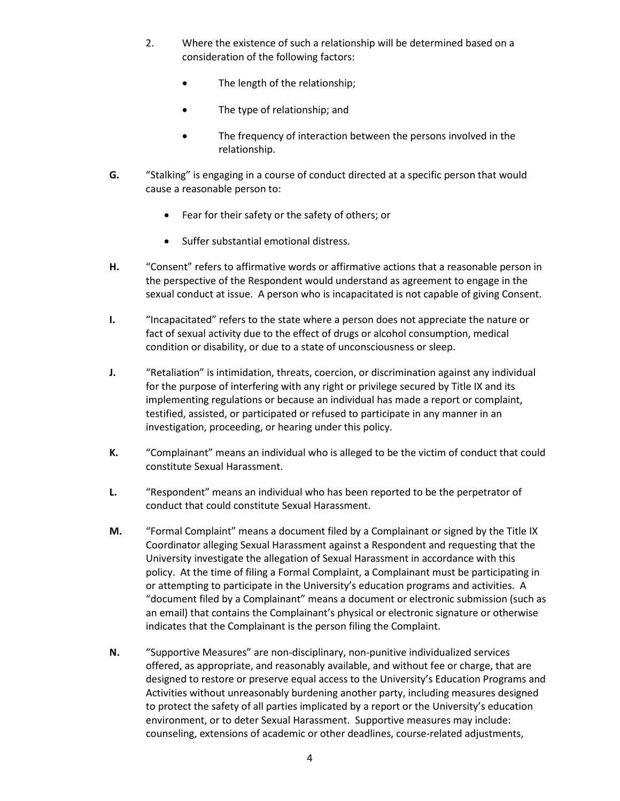- 2. Where the existence of such a relationship will be determined based on a consideration of the following factors:
	- The length of the relationship;
	- The type of relationship; and
	- The frequency of interaction between the persons involved in the relationship.
- **G.** "Stalking" is engaging in a course of conduct directed at a specific person that would cause a reasonable person to:
	- Fear for their safety or the safety of others; or
	- Suffer substantial emotional distress.
- **H.** "Consent" refers to affirmative words or affirmative actions that a reasonable person in the perspective of the Respondent would understand as agreement to engage in the sexual conduct at issue. A person who is incapacitated is not capable of giving Consent.
- **I.** "Incapacitated" refers to the state where a person does not appreciate the nature or fact of sexual activity due to the effect of drugs or alcohol consumption, medical condition or disability, or due to a state of unconsciousness or sleep.
- **J.** "Retaliation" is intimidation, threats, coercion, or discrimination against any individual for the purpose of interfering with any right or privilege secured by Title IX and its implementing regulations or because an individual has made a report or complaint, testified, assisted, or participated or refused to participate in any manner in an investigation, proceeding, or hearing under this policy.
- **K.** "Complainant" means an individual who is alleged to be the victim of conduct that could constitute Sexual Harassment.
- **L.** "Respondent" means an individual who has been reported to be the perpetrator of conduct that could constitute Sexual Harassment.
- **M.** "Formal Complaint" means a document filed by a Complainant or signed by the Title IX Coordinator alleging Sexual Harassment against a Respondent and requesting that the University investigate the allegation of Sexual Harassment in accordance with this policy. At the time of filing a Formal Complaint, a Complainant must be participating in or attempting to participate in the University's education programs and activities. A "document filed by a Complainant" means a document or electronic submission (such as an email) that contains the Complainant's physical or electronic signature or otherwise indicates that the Complainant is the person filing the Complaint.
- **N.** "Supportive Measures" are non-disciplinary, non-punitive individualized services offered, as appropriate, and reasonably available, and without fee or charge, that are designed to restore or preserve equal access to the University's Education Programs and Activities without unreasonably burdening another party, including measures designed to protect the safety of all parties implicated by a report or the University's education environment, or to deter Sexual Harassment. Supportive measures may include: counseling, extensions of academic or other deadlines, course-related adjustments,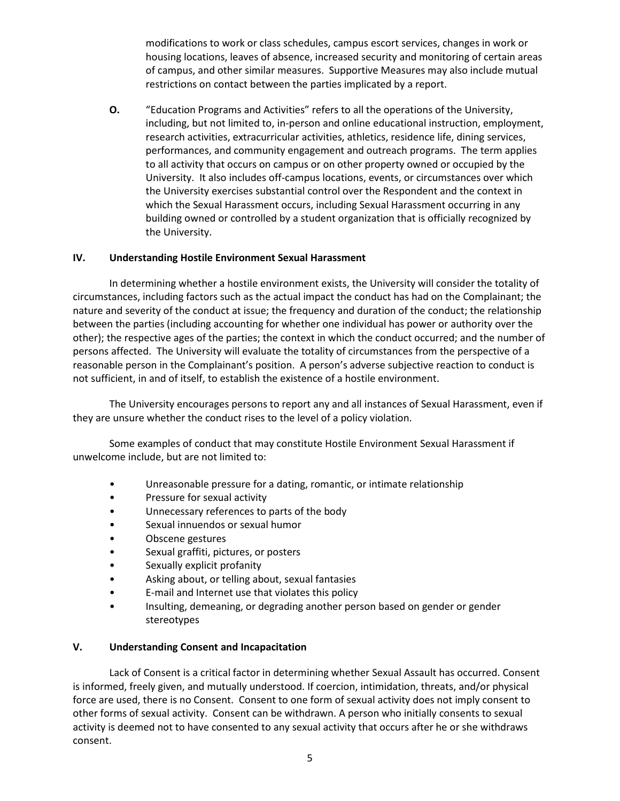modifications to work or class schedules, campus escort services, changes in work or housing locations, leaves of absence, increased security and monitoring of certain areas of campus, and other similar measures. Supportive Measures may also include mutual restrictions on contact between the parties implicated by a report.

**O.** "Education Programs and Activities" refers to all the operations of the University, including, but not limited to, in-person and online educational instruction, employment, research activities, extracurricular activities, athletics, residence life, dining services, performances, and community engagement and outreach programs. The term applies to all activity that occurs on campus or on other property owned or occupied by the University. It also includes off-campus locations, events, or circumstances over which the University exercises substantial control over the Respondent and the context in which the Sexual Harassment occurs, including Sexual Harassment occurring in any building owned or controlled by a student organization that is officially recognized by the University.

## **IV. Understanding Hostile Environment Sexual Harassment**

In determining whether a hostile environment exists, the University will consider the totality of circumstances, including factors such as the actual impact the conduct has had on the Complainant; the nature and severity of the conduct at issue; the frequency and duration of the conduct; the relationship between the parties (including accounting for whether one individual has power or authority over the other); the respective ages of the parties; the context in which the conduct occurred; and the number of persons affected. The University will evaluate the totality of circumstances from the perspective of a reasonable person in the Complainant's position. A person's adverse subjective reaction to conduct is not sufficient, in and of itself, to establish the existence of a hostile environment.

The University encourages persons to report any and all instances of Sexual Harassment, even if they are unsure whether the conduct rises to the level of a policy violation.

Some examples of conduct that may constitute Hostile Environment Sexual Harassment if unwelcome include, but are not limited to:

- Unreasonable pressure for a dating, romantic, or intimate relationship
- Pressure for sexual activity
- Unnecessary references to parts of the body
- Sexual innuendos or sexual humor
- Obscene gestures
- Sexual graffiti, pictures, or posters
- Sexually explicit profanity
- Asking about, or telling about, sexual fantasies
- E-mail and Internet use that violates this policy
- Insulting, demeaning, or degrading another person based on gender or gender stereotypes

## **V. Understanding Consent and Incapacitation**

Lack of Consent is a critical factor in determining whether Sexual Assault has occurred. Consent is informed, freely given, and mutually understood. If coercion, intimidation, threats, and/or physical force are used, there is no Consent. Consent to one form of sexual activity does not imply consent to other forms of sexual activity. Consent can be withdrawn. A person who initially consents to sexual activity is deemed not to have consented to any sexual activity that occurs after he or she withdraws consent.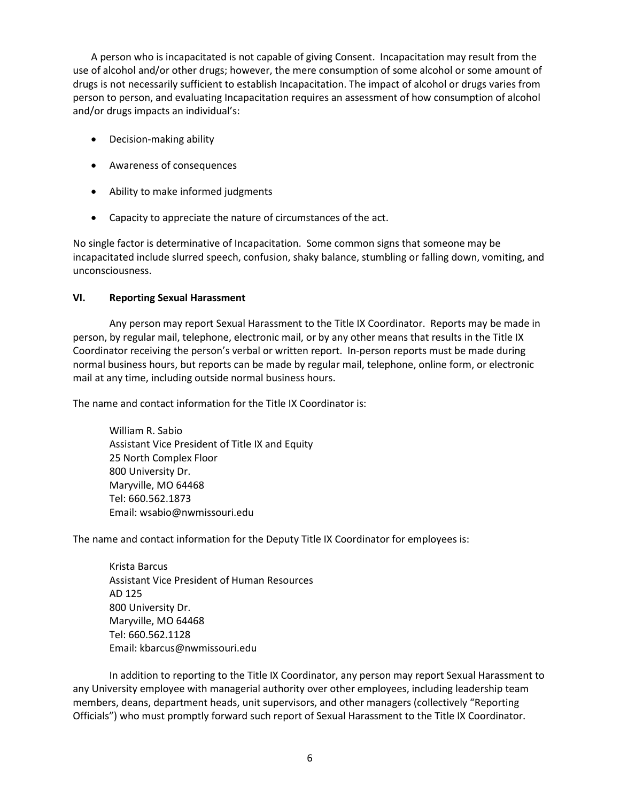A person who is incapacitated is not capable of giving Consent. Incapacitation may result from the use of alcohol and/or other drugs; however, the mere consumption of some alcohol or some amount of drugs is not necessarily sufficient to establish Incapacitation. The impact of alcohol or drugs varies from person to person, and evaluating Incapacitation requires an assessment of how consumption of alcohol and/or drugs impacts an individual's:

- Decision-making ability
- Awareness of consequences
- Ability to make informed judgments
- Capacity to appreciate the nature of circumstances of the act.

No single factor is determinative of Incapacitation. Some common signs that someone may be incapacitated include slurred speech, confusion, shaky balance, stumbling or falling down, vomiting, and unconsciousness.

## **VI. Reporting Sexual Harassment**

Any person may report Sexual Harassment to the Title IX Coordinator. Reports may be made in person, by regular mail, telephone, electronic mail, or by any other means that results in the Title IX Coordinator receiving the person's verbal or written report. In-person reports must be made during normal business hours, but reports can be made by regular mail, telephone, online form, or electronic mail at any time, including outside normal business hours.

The name and contact information for the Title IX Coordinator is:

William R. Sabio Assistant Vice President of Title IX and Equity 25 North Complex Floor 800 University Dr. Maryville, MO 64468 Tel: 660.562.1873 Email: wsabio@nwmissouri.edu

The name and contact information for the Deputy Title IX Coordinator for employees is:

Krista Barcus Assistant Vice President of Human Resources AD 125 800 University Dr. Maryville, MO 64468 Tel: 660.562.1128 Email: kbarcus@nwmissouri.edu

In addition to reporting to the Title IX Coordinator, any person may report Sexual Harassment to any University employee with managerial authority over other employees, including leadership team members, deans, department heads, unit supervisors, and other managers (collectively "Reporting Officials") who must promptly forward such report of Sexual Harassment to the Title IX Coordinator.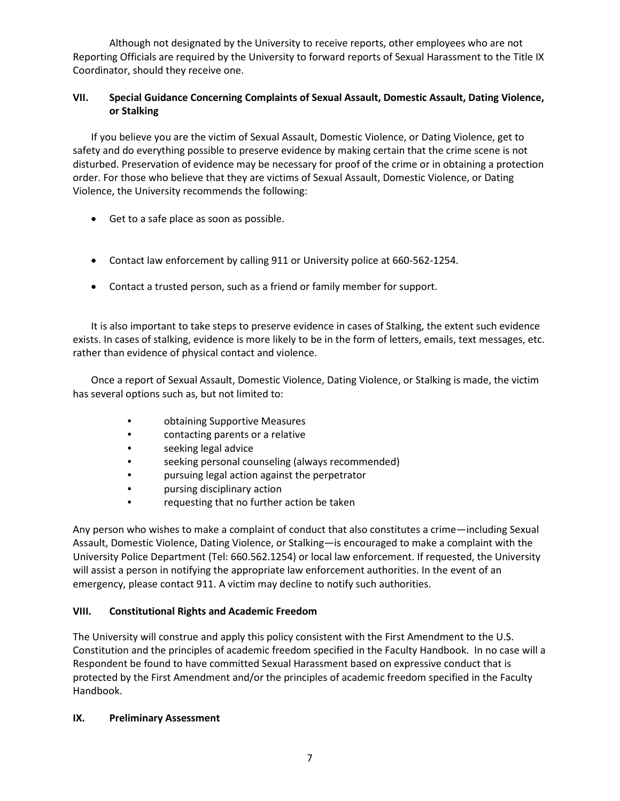Although not designated by the University to receive reports, other employees who are not Reporting Officials are required by the University to forward reports of Sexual Harassment to the Title IX Coordinator, should they receive one.

# **VII. Special Guidance Concerning Complaints of Sexual Assault, Domestic Assault, Dating Violence, or Stalking**

If you believe you are the victim of Sexual Assault, Domestic Violence, or Dating Violence, get to safety and do everything possible to preserve evidence by making certain that the crime scene is not disturbed. Preservation of evidence may be necessary for proof of the crime or in obtaining a protection order. For those who believe that they are victims of Sexual Assault, Domestic Violence, or Dating Violence, the University recommends the following:

- Get to a safe place as soon as possible.
- Contact law enforcement by calling 911 or University police at 660-562-1254.
- Contact a trusted person, such as a friend or family member for support.

It is also important to take steps to preserve evidence in cases of Stalking, the extent such evidence exists. In cases of stalking, evidence is more likely to be in the form of letters, emails, text messages, etc. rather than evidence of physical contact and violence.

Once a report of Sexual Assault, Domestic Violence, Dating Violence, or Stalking is made, the victim has several options such as, but not limited to:

- obtaining Supportive Measures
- contacting parents or a relative
- seeking legal advice
- seeking personal counseling (always recommended)
- pursuing legal action against the perpetrator
- pursing disciplinary action
- requesting that no further action be taken

Any person who wishes to make a complaint of conduct that also constitutes a crime—including Sexual Assault, Domestic Violence, Dating Violence, or Stalking—is encouraged to make a complaint with the University Police Department (Tel: 660.562.1254) or local law enforcement. If requested, the University will assist a person in notifying the appropriate law enforcement authorities. In the event of an emergency, please contact 911. A victim may decline to notify such authorities.

## **VIII. Constitutional Rights and Academic Freedom**

The University will construe and apply this policy consistent with the First Amendment to the U.S. Constitution and the principles of academic freedom specified in the Faculty Handbook. In no case will a Respondent be found to have committed Sexual Harassment based on expressive conduct that is protected by the First Amendment and/or the principles of academic freedom specified in the Faculty Handbook.

## **IX. Preliminary Assessment**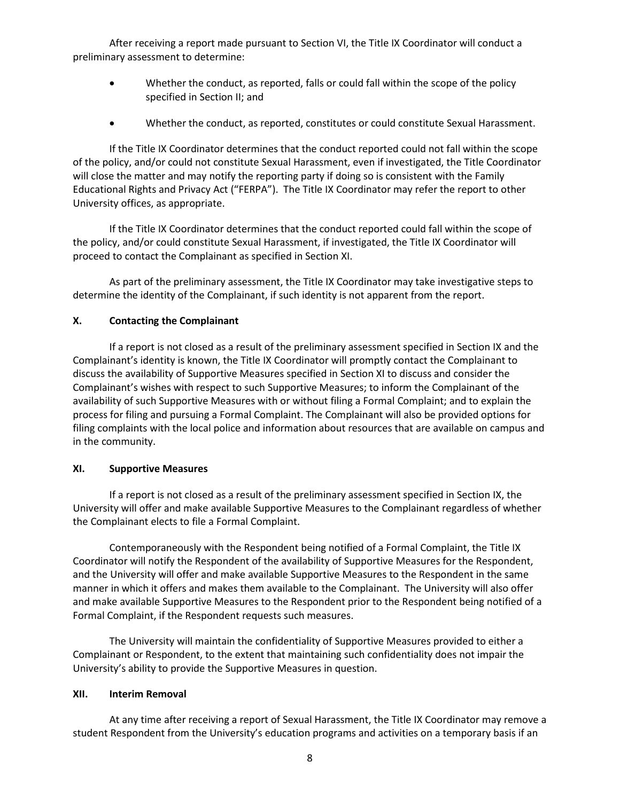After receiving a report made pursuant to Section VI, the Title IX Coordinator will conduct a preliminary assessment to determine:

- Whether the conduct, as reported, falls or could fall within the scope of the policy specified in Section II; and
- Whether the conduct, as reported, constitutes or could constitute Sexual Harassment.

If the Title IX Coordinator determines that the conduct reported could not fall within the scope of the policy, and/or could not constitute Sexual Harassment, even if investigated, the Title Coordinator will close the matter and may notify the reporting party if doing so is consistent with the Family Educational Rights and Privacy Act ("FERPA"). The Title IX Coordinator may refer the report to other University offices, as appropriate.

If the Title IX Coordinator determines that the conduct reported could fall within the scope of the policy, and/or could constitute Sexual Harassment, if investigated, the Title IX Coordinator will proceed to contact the Complainant as specified in Section XI.

As part of the preliminary assessment, the Title IX Coordinator may take investigative steps to determine the identity of the Complainant, if such identity is not apparent from the report.

## **X. Contacting the Complainant**

If a report is not closed as a result of the preliminary assessment specified in Section IX and the Complainant's identity is known, the Title IX Coordinator will promptly contact the Complainant to discuss the availability of Supportive Measures specified in Section XI to discuss and consider the Complainant's wishes with respect to such Supportive Measures; to inform the Complainant of the availability of such Supportive Measures with or without filing a Formal Complaint; and to explain the process for filing and pursuing a Formal Complaint. The Complainant will also be provided options for filing complaints with the local police and information about resources that are available on campus and in the community.

### **XI. Supportive Measures**

If a report is not closed as a result of the preliminary assessment specified in Section IX, the University will offer and make available Supportive Measures to the Complainant regardless of whether the Complainant elects to file a Formal Complaint.

Contemporaneously with the Respondent being notified of a Formal Complaint, the Title IX Coordinator will notify the Respondent of the availability of Supportive Measures for the Respondent, and the University will offer and make available Supportive Measures to the Respondent in the same manner in which it offers and makes them available to the Complainant. The University will also offer and make available Supportive Measures to the Respondent prior to the Respondent being notified of a Formal Complaint, if the Respondent requests such measures.

The University will maintain the confidentiality of Supportive Measures provided to either a Complainant or Respondent, to the extent that maintaining such confidentiality does not impair the University's ability to provide the Supportive Measures in question.

## **XII. Interim Removal**

At any time after receiving a report of Sexual Harassment, the Title IX Coordinator may remove a student Respondent from the University's education programs and activities on a temporary basis if an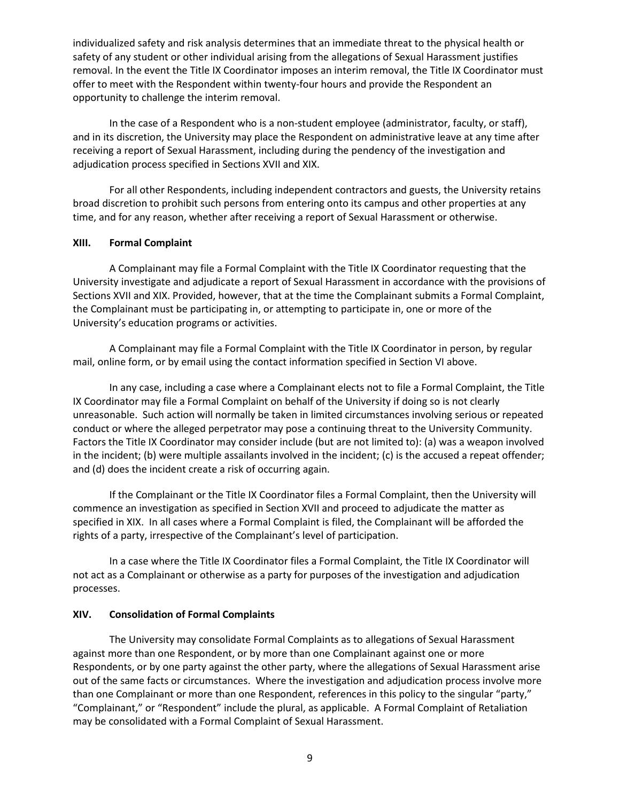individualized safety and risk analysis determines that an immediate threat to the physical health or safety of any student or other individual arising from the allegations of Sexual Harassment justifies removal. In the event the Title IX Coordinator imposes an interim removal, the Title IX Coordinator must offer to meet with the Respondent within twenty-four hours and provide the Respondent an opportunity to challenge the interim removal.

In the case of a Respondent who is a non-student employee (administrator, faculty, or staff), and in its discretion, the University may place the Respondent on administrative leave at any time after receiving a report of Sexual Harassment, including during the pendency of the investigation and adjudication process specified in Sections XVII and XIX.

For all other Respondents, including independent contractors and guests, the University retains broad discretion to prohibit such persons from entering onto its campus and other properties at any time, and for any reason, whether after receiving a report of Sexual Harassment or otherwise.

#### **XIII. Formal Complaint**

A Complainant may file a Formal Complaint with the Title IX Coordinator requesting that the University investigate and adjudicate a report of Sexual Harassment in accordance with the provisions of Sections XVII and XIX. Provided, however, that at the time the Complainant submits a Formal Complaint, the Complainant must be participating in, or attempting to participate in, one or more of the University's education programs or activities.

A Complainant may file a Formal Complaint with the Title IX Coordinator in person, by regular mail, online form, or by email using the contact information specified in Section VI above.

In any case, including a case where a Complainant elects not to file a Formal Complaint, the Title IX Coordinator may file a Formal Complaint on behalf of the University if doing so is not clearly unreasonable. Such action will normally be taken in limited circumstances involving serious or repeated conduct or where the alleged perpetrator may pose a continuing threat to the University Community. Factors the Title IX Coordinator may consider include (but are not limited to): (a) was a weapon involved in the incident; (b) were multiple assailants involved in the incident; (c) is the accused a repeat offender; and (d) does the incident create a risk of occurring again.

If the Complainant or the Title IX Coordinator files a Formal Complaint, then the University will commence an investigation as specified in Section XVII and proceed to adjudicate the matter as specified in XIX. In all cases where a Formal Complaint is filed, the Complainant will be afforded the rights of a party, irrespective of the Complainant's level of participation.

In a case where the Title IX Coordinator files a Formal Complaint, the Title IX Coordinator will not act as a Complainant or otherwise as a party for purposes of the investigation and adjudication processes.

## **XIV. Consolidation of Formal Complaints**

The University may consolidate Formal Complaints as to allegations of Sexual Harassment against more than one Respondent, or by more than one Complainant against one or more Respondents, or by one party against the other party, where the allegations of Sexual Harassment arise out of the same facts or circumstances. Where the investigation and adjudication process involve more than one Complainant or more than one Respondent, references in this policy to the singular "party," "Complainant," or "Respondent" include the plural, as applicable. A Formal Complaint of Retaliation may be consolidated with a Formal Complaint of Sexual Harassment.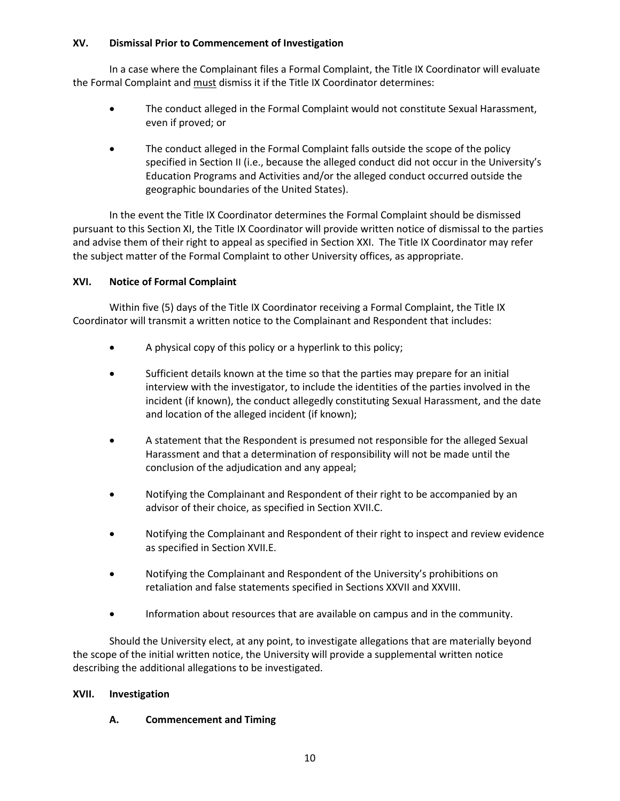## **XV. Dismissal Prior to Commencement of Investigation**

In a case where the Complainant files a Formal Complaint, the Title IX Coordinator will evaluate the Formal Complaint and must dismiss it if the Title IX Coordinator determines:

- The conduct alleged in the Formal Complaint would not constitute Sexual Harassment, even if proved; or
- The conduct alleged in the Formal Complaint falls outside the scope of the policy specified in Section II (i.e., because the alleged conduct did not occur in the University's Education Programs and Activities and/or the alleged conduct occurred outside the geographic boundaries of the United States).

In the event the Title IX Coordinator determines the Formal Complaint should be dismissed pursuant to this Section XI, the Title IX Coordinator will provide written notice of dismissal to the parties and advise them of their right to appeal as specified in Section XXI. The Title IX Coordinator may refer the subject matter of the Formal Complaint to other University offices, as appropriate.

## **XVI. Notice of Formal Complaint**

Within five (5) days of the Title IX Coordinator receiving a Formal Complaint, the Title IX Coordinator will transmit a written notice to the Complainant and Respondent that includes:

- A physical copy of this policy or a hyperlink to this policy;
- Sufficient details known at the time so that the parties may prepare for an initial interview with the investigator, to include the identities of the parties involved in the incident (if known), the conduct allegedly constituting Sexual Harassment, and the date and location of the alleged incident (if known);
- A statement that the Respondent is presumed not responsible for the alleged Sexual Harassment and that a determination of responsibility will not be made until the conclusion of the adjudication and any appeal;
- Notifying the Complainant and Respondent of their right to be accompanied by an advisor of their choice, as specified in Section XVII.C.
- Notifying the Complainant and Respondent of their right to inspect and review evidence as specified in Section XVII.E.
- Notifying the Complainant and Respondent of the University's prohibitions on retaliation and false statements specified in Sections XXVII and XXVIII.
- Information about resources that are available on campus and in the community.

Should the University elect, at any point, to investigate allegations that are materially beyond the scope of the initial written notice, the University will provide a supplemental written notice describing the additional allegations to be investigated.

## **XVII. Investigation**

## **A. Commencement and Timing**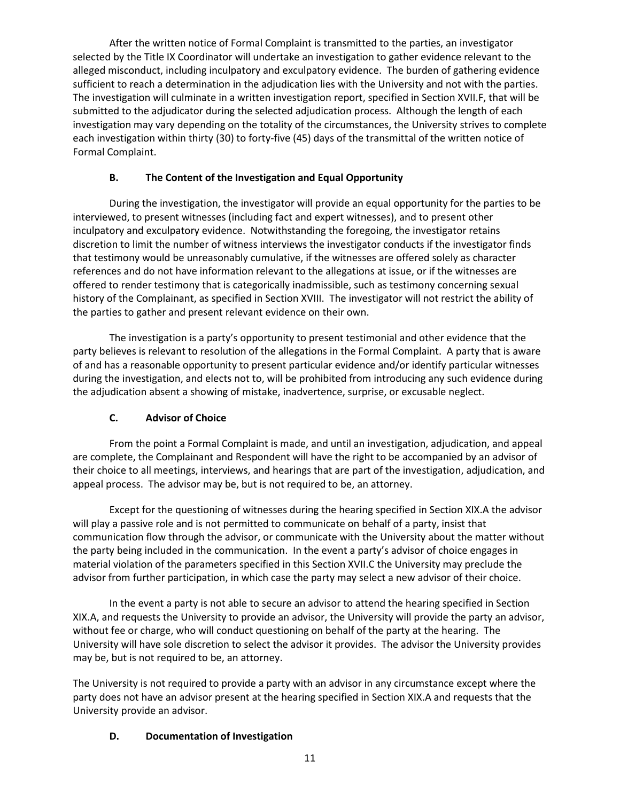After the written notice of Formal Complaint is transmitted to the parties, an investigator selected by the Title IX Coordinator will undertake an investigation to gather evidence relevant to the alleged misconduct, including inculpatory and exculpatory evidence. The burden of gathering evidence sufficient to reach a determination in the adjudication lies with the University and not with the parties. The investigation will culminate in a written investigation report, specified in Section XVII.F, that will be submitted to the adjudicator during the selected adjudication process. Although the length of each investigation may vary depending on the totality of the circumstances, the University strives to complete each investigation within thirty (30) to forty-five (45) days of the transmittal of the written notice of Formal Complaint.

# **B. The Content of the Investigation and Equal Opportunity**

During the investigation, the investigator will provide an equal opportunity for the parties to be interviewed, to present witnesses (including fact and expert witnesses), and to present other inculpatory and exculpatory evidence. Notwithstanding the foregoing, the investigator retains discretion to limit the number of witness interviews the investigator conducts if the investigator finds that testimony would be unreasonably cumulative, if the witnesses are offered solely as character references and do not have information relevant to the allegations at issue, or if the witnesses are offered to render testimony that is categorically inadmissible, such as testimony concerning sexual history of the Complainant, as specified in Section XVIII. The investigator will not restrict the ability of the parties to gather and present relevant evidence on their own.

The investigation is a party's opportunity to present testimonial and other evidence that the party believes is relevant to resolution of the allegations in the Formal Complaint. A party that is aware of and has a reasonable opportunity to present particular evidence and/or identify particular witnesses during the investigation, and elects not to, will be prohibited from introducing any such evidence during the adjudication absent a showing of mistake, inadvertence, surprise, or excusable neglect.

# **C. Advisor of Choice**

From the point a Formal Complaint is made, and until an investigation, adjudication, and appeal are complete, the Complainant and Respondent will have the right to be accompanied by an advisor of their choice to all meetings, interviews, and hearings that are part of the investigation, adjudication, and appeal process. The advisor may be, but is not required to be, an attorney.

Except for the questioning of witnesses during the hearing specified in Section XIX.A the advisor will play a passive role and is not permitted to communicate on behalf of a party, insist that communication flow through the advisor, or communicate with the University about the matter without the party being included in the communication. In the event a party's advisor of choice engages in material violation of the parameters specified in this Section XVII.C the University may preclude the advisor from further participation, in which case the party may select a new advisor of their choice.

In the event a party is not able to secure an advisor to attend the hearing specified in Section XIX.A, and requests the University to provide an advisor, the University will provide the party an advisor, without fee or charge, who will conduct questioning on behalf of the party at the hearing. The University will have sole discretion to select the advisor it provides. The advisor the University provides may be, but is not required to be, an attorney.

The University is not required to provide a party with an advisor in any circumstance except where the party does not have an advisor present at the hearing specified in Section XIX.A and requests that the University provide an advisor.

## **D. Documentation of Investigation**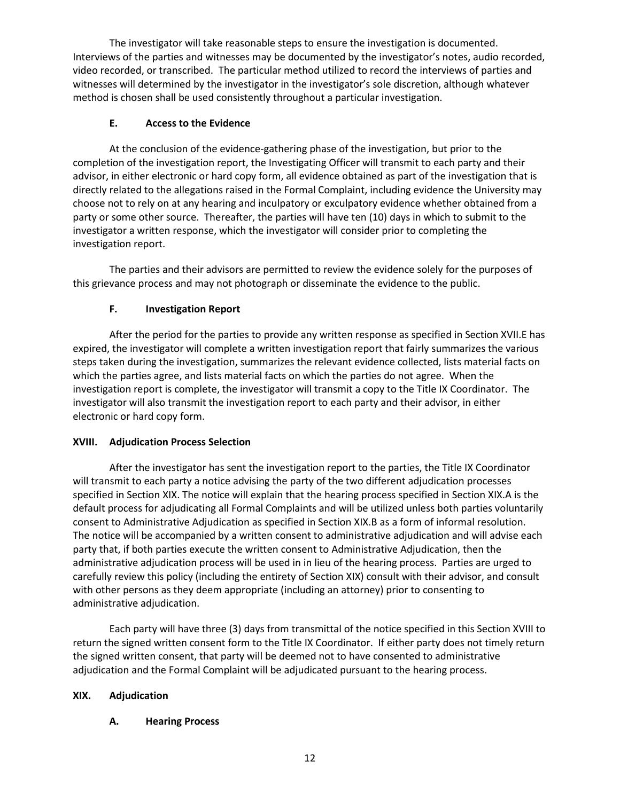The investigator will take reasonable steps to ensure the investigation is documented. Interviews of the parties and witnesses may be documented by the investigator's notes, audio recorded, video recorded, or transcribed. The particular method utilized to record the interviews of parties and witnesses will determined by the investigator in the investigator's sole discretion, although whatever method is chosen shall be used consistently throughout a particular investigation.

# **E. Access to the Evidence**

At the conclusion of the evidence-gathering phase of the investigation, but prior to the completion of the investigation report, the Investigating Officer will transmit to each party and their advisor, in either electronic or hard copy form, all evidence obtained as part of the investigation that is directly related to the allegations raised in the Formal Complaint, including evidence the University may choose not to rely on at any hearing and inculpatory or exculpatory evidence whether obtained from a party or some other source. Thereafter, the parties will have ten (10) days in which to submit to the investigator a written response, which the investigator will consider prior to completing the investigation report.

The parties and their advisors are permitted to review the evidence solely for the purposes of this grievance process and may not photograph or disseminate the evidence to the public.

# **F. Investigation Report**

After the period for the parties to provide any written response as specified in Section XVII.E has expired, the investigator will complete a written investigation report that fairly summarizes the various steps taken during the investigation, summarizes the relevant evidence collected, lists material facts on which the parties agree, and lists material facts on which the parties do not agree. When the investigation report is complete, the investigator will transmit a copy to the Title IX Coordinator. The investigator will also transmit the investigation report to each party and their advisor, in either electronic or hard copy form.

## **XVIII. Adjudication Process Selection**

After the investigator has sent the investigation report to the parties, the Title IX Coordinator will transmit to each party a notice advising the party of the two different adjudication processes specified in Section XIX. The notice will explain that the hearing process specified in Section XIX.A is the default process for adjudicating all Formal Complaints and will be utilized unless both parties voluntarily consent to Administrative Adjudication as specified in Section XIX.B as a form of informal resolution. The notice will be accompanied by a written consent to administrative adjudication and will advise each party that, if both parties execute the written consent to Administrative Adjudication, then the administrative adjudication process will be used in in lieu of the hearing process. Parties are urged to carefully review this policy (including the entirety of Section XIX) consult with their advisor, and consult with other persons as they deem appropriate (including an attorney) prior to consenting to administrative adjudication.

Each party will have three (3) days from transmittal of the notice specified in this Section XVIII to return the signed written consent form to the Title IX Coordinator. If either party does not timely return the signed written consent, that party will be deemed not to have consented to administrative adjudication and the Formal Complaint will be adjudicated pursuant to the hearing process.

## **XIX. Adjudication**

## **A. Hearing Process**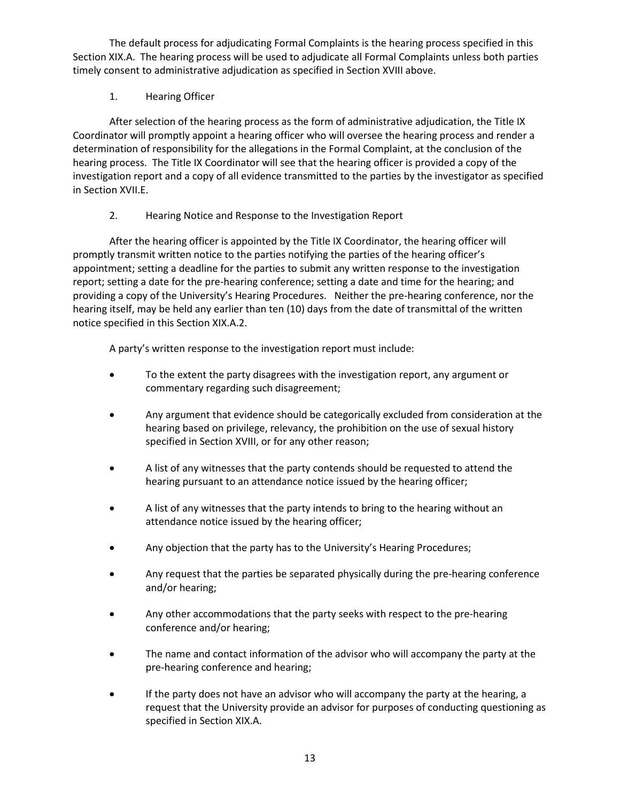The default process for adjudicating Formal Complaints is the hearing process specified in this Section XIX.A. The hearing process will be used to adjudicate all Formal Complaints unless both parties timely consent to administrative adjudication as specified in Section XVIII above.

# 1. Hearing Officer

After selection of the hearing process as the form of administrative adjudication, the Title IX Coordinator will promptly appoint a hearing officer who will oversee the hearing process and render a determination of responsibility for the allegations in the Formal Complaint, at the conclusion of the hearing process. The Title IX Coordinator will see that the hearing officer is provided a copy of the investigation report and a copy of all evidence transmitted to the parties by the investigator as specified in Section XVII.E.

# 2. Hearing Notice and Response to the Investigation Report

After the hearing officer is appointed by the Title IX Coordinator, the hearing officer will promptly transmit written notice to the parties notifying the parties of the hearing officer's appointment; setting a deadline for the parties to submit any written response to the investigation report; setting a date for the pre-hearing conference; setting a date and time for the hearing; and providing a copy of the University's Hearing Procedures. Neither the pre-hearing conference, nor the hearing itself, may be held any earlier than ten (10) days from the date of transmittal of the written notice specified in this Section XIX.A.2.

A party's written response to the investigation report must include:

- To the extent the party disagrees with the investigation report, any argument or commentary regarding such disagreement;
- Any argument that evidence should be categorically excluded from consideration at the hearing based on privilege, relevancy, the prohibition on the use of sexual history specified in Section XVIII, or for any other reason;
- A list of any witnesses that the party contends should be requested to attend the hearing pursuant to an attendance notice issued by the hearing officer;
- A list of any witnesses that the party intends to bring to the hearing without an attendance notice issued by the hearing officer;
- Any objection that the party has to the University's Hearing Procedures;
- Any request that the parties be separated physically during the pre-hearing conference and/or hearing;
- Any other accommodations that the party seeks with respect to the pre-hearing conference and/or hearing;
- The name and contact information of the advisor who will accompany the party at the pre-hearing conference and hearing;
- If the party does not have an advisor who will accompany the party at the hearing, a request that the University provide an advisor for purposes of conducting questioning as specified in Section XIX.A.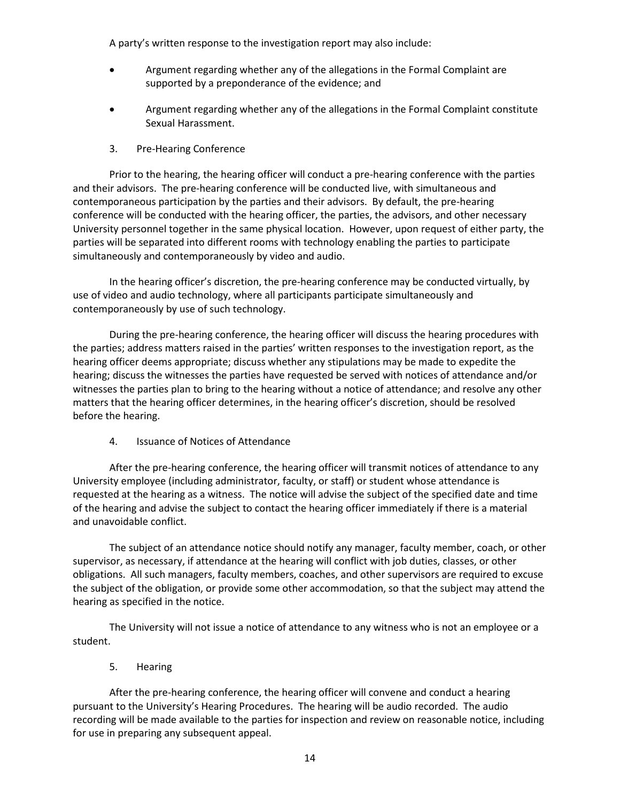A party's written response to the investigation report may also include:

- Argument regarding whether any of the allegations in the Formal Complaint are supported by a preponderance of the evidence; and
- Argument regarding whether any of the allegations in the Formal Complaint constitute Sexual Harassment.
- 3. Pre-Hearing Conference

Prior to the hearing, the hearing officer will conduct a pre-hearing conference with the parties and their advisors. The pre-hearing conference will be conducted live, with simultaneous and contemporaneous participation by the parties and their advisors. By default, the pre-hearing conference will be conducted with the hearing officer, the parties, the advisors, and other necessary University personnel together in the same physical location. However, upon request of either party, the parties will be separated into different rooms with technology enabling the parties to participate simultaneously and contemporaneously by video and audio.

In the hearing officer's discretion, the pre-hearing conference may be conducted virtually, by use of video and audio technology, where all participants participate simultaneously and contemporaneously by use of such technology.

During the pre-hearing conference, the hearing officer will discuss the hearing procedures with the parties; address matters raised in the parties' written responses to the investigation report, as the hearing officer deems appropriate; discuss whether any stipulations may be made to expedite the hearing; discuss the witnesses the parties have requested be served with notices of attendance and/or witnesses the parties plan to bring to the hearing without a notice of attendance; and resolve any other matters that the hearing officer determines, in the hearing officer's discretion, should be resolved before the hearing.

4. Issuance of Notices of Attendance

After the pre-hearing conference, the hearing officer will transmit notices of attendance to any University employee (including administrator, faculty, or staff) or student whose attendance is requested at the hearing as a witness. The notice will advise the subject of the specified date and time of the hearing and advise the subject to contact the hearing officer immediately if there is a material and unavoidable conflict.

The subject of an attendance notice should notify any manager, faculty member, coach, or other supervisor, as necessary, if attendance at the hearing will conflict with job duties, classes, or other obligations. All such managers, faculty members, coaches, and other supervisors are required to excuse the subject of the obligation, or provide some other accommodation, so that the subject may attend the hearing as specified in the notice.

The University will not issue a notice of attendance to any witness who is not an employee or a student.

5. Hearing

After the pre-hearing conference, the hearing officer will convene and conduct a hearing pursuant to the University's Hearing Procedures. The hearing will be audio recorded. The audio recording will be made available to the parties for inspection and review on reasonable notice, including for use in preparing any subsequent appeal.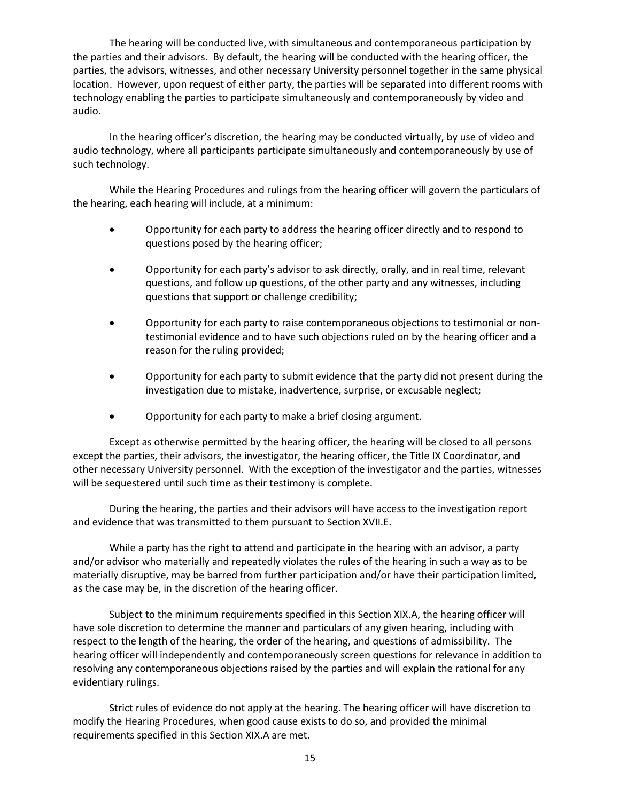The hearing will be conducted live, with simultaneous and contemporaneous participation by the parties and their advisors. By default, the hearing will be conducted with the hearing officer, the parties, the advisors, witnesses, and other necessary University personnel together in the same physical location. However, upon request of either party, the parties will be separated into different rooms with technology enabling the parties to participate simultaneously and contemporaneously by video and audio.

In the hearing officer's discretion, the hearing may be conducted virtually, by use of video and audio technology, where all participants participate simultaneously and contemporaneously by use of such technology.

While the Hearing Procedures and rulings from the hearing officer will govern the particulars of the hearing, each hearing will include, at a minimum:

- Opportunity for each party to address the hearing officer directly and to respond to questions posed by the hearing officer;
- Opportunity for each party's advisor to ask directly, orally, and in real time, relevant questions, and follow up questions, of the other party and any witnesses, including questions that support or challenge credibility;
- Opportunity for each party to raise contemporaneous objections to testimonial or nontestimonial evidence and to have such objections ruled on by the hearing officer and a reason for the ruling provided;
- Opportunity for each party to submit evidence that the party did not present during the investigation due to mistake, inadvertence, surprise, or excusable neglect;
- Opportunity for each party to make a brief closing argument.

Except as otherwise permitted by the hearing officer, the hearing will be closed to all persons except the parties, their advisors, the investigator, the hearing officer, the Title IX Coordinator, and other necessary University personnel. With the exception of the investigator and the parties, witnesses will be sequestered until such time as their testimony is complete.

During the hearing, the parties and their advisors will have access to the investigation report and evidence that was transmitted to them pursuant to Section XVII.E.

While a party has the right to attend and participate in the hearing with an advisor, a party and/or advisor who materially and repeatedly violates the rules of the hearing in such a way as to be materially disruptive, may be barred from further participation and/or have their participation limited, as the case may be, in the discretion of the hearing officer.

Subject to the minimum requirements specified in this Section XIX.A, the hearing officer will have sole discretion to determine the manner and particulars of any given hearing, including with respect to the length of the hearing, the order of the hearing, and questions of admissibility. The hearing officer will independently and contemporaneously screen questions for relevance in addition to resolving any contemporaneous objections raised by the parties and will explain the rational for any evidentiary rulings.

Strict rules of evidence do not apply at the hearing. The hearing officer will have discretion to modify the Hearing Procedures, when good cause exists to do so, and provided the minimal requirements specified in this Section XIX.A are met.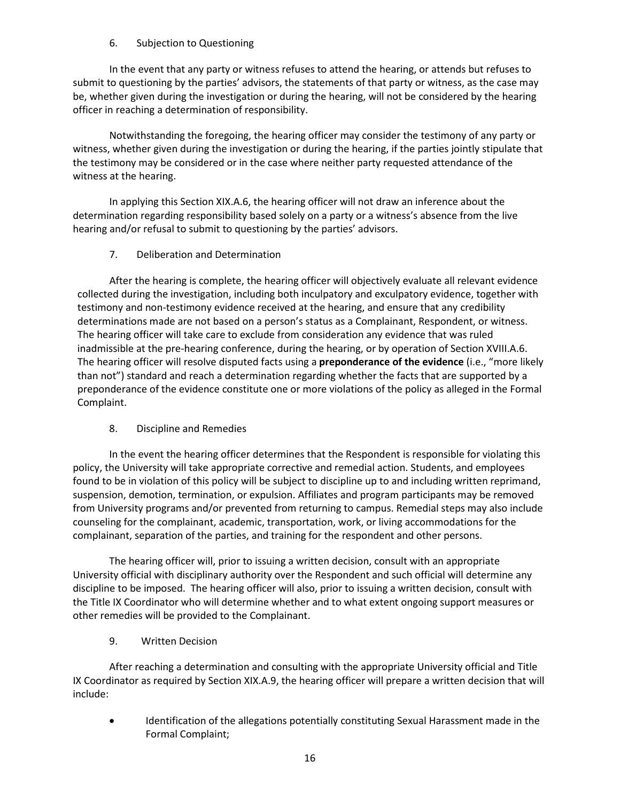## 6. Subjection to Questioning

In the event that any party or witness refuses to attend the hearing, or attends but refuses to submit to questioning by the parties' advisors, the statements of that party or witness, as the case may be, whether given during the investigation or during the hearing, will not be considered by the hearing officer in reaching a determination of responsibility.

Notwithstanding the foregoing, the hearing officer may consider the testimony of any party or witness, whether given during the investigation or during the hearing, if the parties jointly stipulate that the testimony may be considered or in the case where neither party requested attendance of the witness at the hearing.

In applying this Section XIX.A.6, the hearing officer will not draw an inference about the determination regarding responsibility based solely on a party or a witness's absence from the live hearing and/or refusal to submit to questioning by the parties' advisors.

## 7. Deliberation and Determination

After the hearing is complete, the hearing officer will objectively evaluate all relevant evidence collected during the investigation, including both inculpatory and exculpatory evidence, together with testimony and non-testimony evidence received at the hearing, and ensure that any credibility determinations made are not based on a person's status as a Complainant, Respondent, or witness. The hearing officer will take care to exclude from consideration any evidence that was ruled inadmissible at the pre-hearing conference, during the hearing, or by operation of Section XVIII.A.6. The hearing officer will resolve disputed facts using a **preponderance of the evidence** (i.e., "more likely than not") standard and reach a determination regarding whether the facts that are supported by a preponderance of the evidence constitute one or more violations of the policy as alleged in the Formal Complaint.

## 8. Discipline and Remedies

In the event the hearing officer determines that the Respondent is responsible for violating this policy, the University will take appropriate corrective and remedial action. Students, and employees found to be in violation of this policy will be subject to discipline up to and including written reprimand, suspension, demotion, termination, or expulsion. Affiliates and program participants may be removed from University programs and/or prevented from returning to campus. Remedial steps may also include counseling for the complainant, academic, transportation, work, or living accommodations for the complainant, separation of the parties, and training for the respondent and other persons.

The hearing officer will, prior to issuing a written decision, consult with an appropriate University official with disciplinary authority over the Respondent and such official will determine any discipline to be imposed. The hearing officer will also, prior to issuing a written decision, consult with the Title IX Coordinator who will determine whether and to what extent ongoing support measures or other remedies will be provided to the Complainant.

9. Written Decision

After reaching a determination and consulting with the appropriate University official and Title IX Coordinator as required by Section XIX.A.9, the hearing officer will prepare a written decision that will include:

• Identification of the allegations potentially constituting Sexual Harassment made in the Formal Complaint;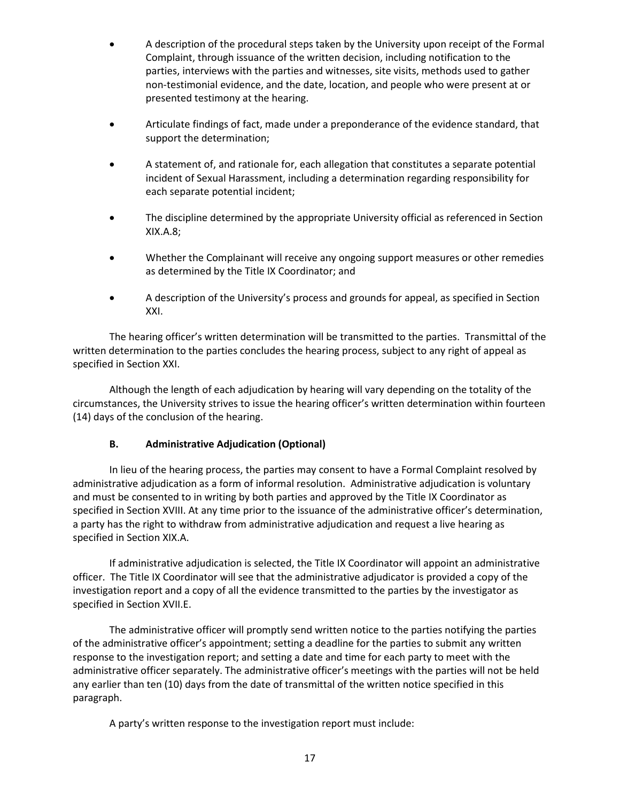- A description of the procedural steps taken by the University upon receipt of the Formal Complaint, through issuance of the written decision, including notification to the parties, interviews with the parties and witnesses, site visits, methods used to gather non-testimonial evidence, and the date, location, and people who were present at or presented testimony at the hearing.
- Articulate findings of fact, made under a preponderance of the evidence standard, that support the determination;
- A statement of, and rationale for, each allegation that constitutes a separate potential incident of Sexual Harassment, including a determination regarding responsibility for each separate potential incident;
- The discipline determined by the appropriate University official as referenced in Section XIX.A.8;
- Whether the Complainant will receive any ongoing support measures or other remedies as determined by the Title IX Coordinator; and
- A description of the University's process and grounds for appeal, as specified in Section XXI.

The hearing officer's written determination will be transmitted to the parties. Transmittal of the written determination to the parties concludes the hearing process, subject to any right of appeal as specified in Section XXI.

Although the length of each adjudication by hearing will vary depending on the totality of the circumstances, the University strives to issue the hearing officer's written determination within fourteen (14) days of the conclusion of the hearing.

## **B. Administrative Adjudication (Optional)**

In lieu of the hearing process, the parties may consent to have a Formal Complaint resolved by administrative adjudication as a form of informal resolution. Administrative adjudication is voluntary and must be consented to in writing by both parties and approved by the Title IX Coordinator as specified in Section XVIII. At any time prior to the issuance of the administrative officer's determination, a party has the right to withdraw from administrative adjudication and request a live hearing as specified in Section XIX.A.

If administrative adjudication is selected, the Title IX Coordinator will appoint an administrative officer. The Title IX Coordinator will see that the administrative adjudicator is provided a copy of the investigation report and a copy of all the evidence transmitted to the parties by the investigator as specified in Section XVII.E.

The administrative officer will promptly send written notice to the parties notifying the parties of the administrative officer's appointment; setting a deadline for the parties to submit any written response to the investigation report; and setting a date and time for each party to meet with the administrative officer separately. The administrative officer's meetings with the parties will not be held any earlier than ten (10) days from the date of transmittal of the written notice specified in this paragraph.

A party's written response to the investigation report must include: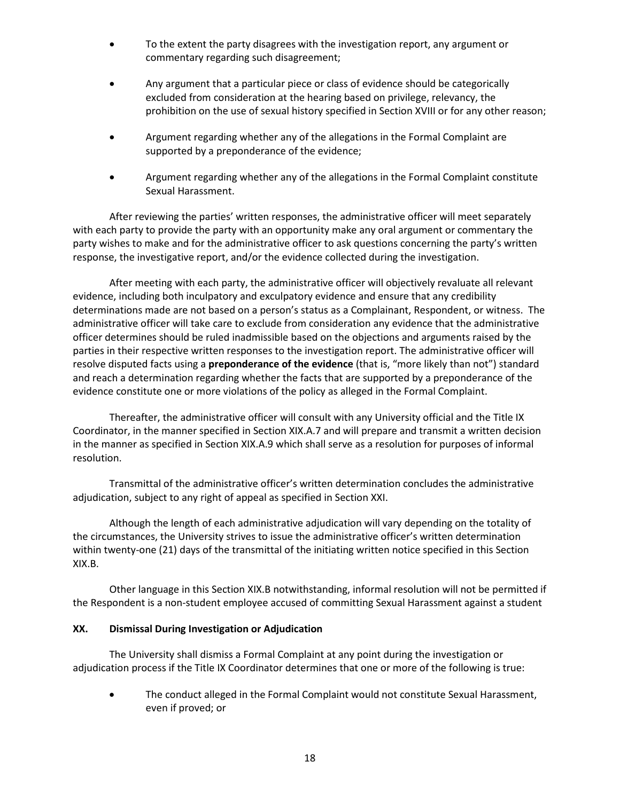- To the extent the party disagrees with the investigation report, any argument or commentary regarding such disagreement;
- Any argument that a particular piece or class of evidence should be categorically excluded from consideration at the hearing based on privilege, relevancy, the prohibition on the use of sexual history specified in Section XVIII or for any other reason;
- Argument regarding whether any of the allegations in the Formal Complaint are supported by a preponderance of the evidence;
- Argument regarding whether any of the allegations in the Formal Complaint constitute Sexual Harassment.

After reviewing the parties' written responses, the administrative officer will meet separately with each party to provide the party with an opportunity make any oral argument or commentary the party wishes to make and for the administrative officer to ask questions concerning the party's written response, the investigative report, and/or the evidence collected during the investigation.

After meeting with each party, the administrative officer will objectively revaluate all relevant evidence, including both inculpatory and exculpatory evidence and ensure that any credibility determinations made are not based on a person's status as a Complainant, Respondent, or witness. The administrative officer will take care to exclude from consideration any evidence that the administrative officer determines should be ruled inadmissible based on the objections and arguments raised by the parties in their respective written responses to the investigation report. The administrative officer will resolve disputed facts using a **preponderance of the evidence** (that is, "more likely than not") standard and reach a determination regarding whether the facts that are supported by a preponderance of the evidence constitute one or more violations of the policy as alleged in the Formal Complaint.

Thereafter, the administrative officer will consult with any University official and the Title IX Coordinator, in the manner specified in Section XIX.A.7 and will prepare and transmit a written decision in the manner as specified in Section XIX.A.9 which shall serve as a resolution for purposes of informal resolution.

Transmittal of the administrative officer's written determination concludes the administrative adjudication, subject to any right of appeal as specified in Section XXI.

Although the length of each administrative adjudication will vary depending on the totality of the circumstances, the University strives to issue the administrative officer's written determination within twenty-one (21) days of the transmittal of the initiating written notice specified in this Section XIX.B.

Other language in this Section XIX.B notwithstanding, informal resolution will not be permitted if the Respondent is a non-student employee accused of committing Sexual Harassment against a student

## **XX. Dismissal During Investigation or Adjudication**

The University shall dismiss a Formal Complaint at any point during the investigation or adjudication process if the Title IX Coordinator determines that one or more of the following is true:

• The conduct alleged in the Formal Complaint would not constitute Sexual Harassment, even if proved; or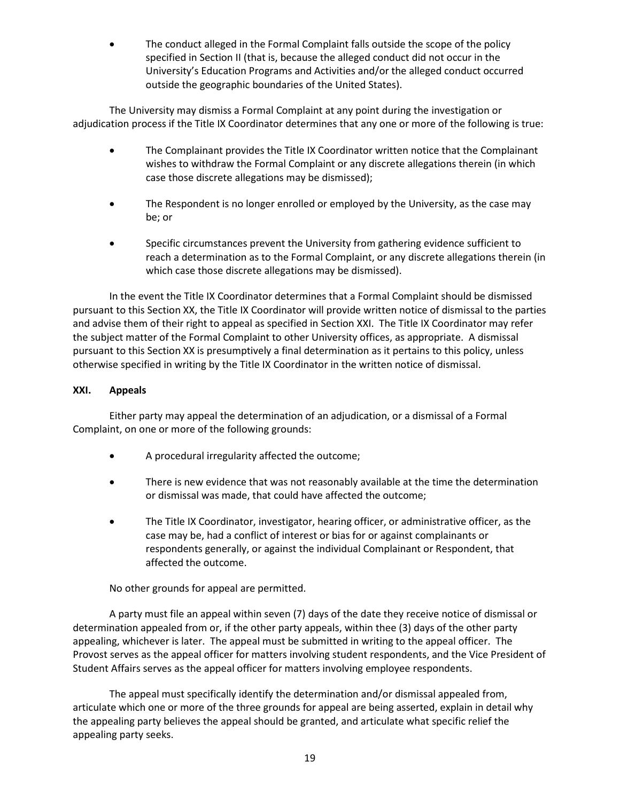The conduct alleged in the Formal Complaint falls outside the scope of the policy specified in Section II (that is, because the alleged conduct did not occur in the University's Education Programs and Activities and/or the alleged conduct occurred outside the geographic boundaries of the United States).

The University may dismiss a Formal Complaint at any point during the investigation or adjudication process if the Title IX Coordinator determines that any one or more of the following is true:

- The Complainant provides the Title IX Coordinator written notice that the Complainant wishes to withdraw the Formal Complaint or any discrete allegations therein (in which case those discrete allegations may be dismissed);
- The Respondent is no longer enrolled or employed by the University, as the case may be; or
- Specific circumstances prevent the University from gathering evidence sufficient to reach a determination as to the Formal Complaint, or any discrete allegations therein (in which case those discrete allegations may be dismissed).

In the event the Title IX Coordinator determines that a Formal Complaint should be dismissed pursuant to this Section XX, the Title IX Coordinator will provide written notice of dismissal to the parties and advise them of their right to appeal as specified in Section XXI. The Title IX Coordinator may refer the subject matter of the Formal Complaint to other University offices, as appropriate. A dismissal pursuant to this Section XX is presumptively a final determination as it pertains to this policy, unless otherwise specified in writing by the Title IX Coordinator in the written notice of dismissal.

## **XXI. Appeals**

Either party may appeal the determination of an adjudication, or a dismissal of a Formal Complaint, on one or more of the following grounds:

- A procedural irregularity affected the outcome;
- There is new evidence that was not reasonably available at the time the determination or dismissal was made, that could have affected the outcome;
- The Title IX Coordinator, investigator, hearing officer, or administrative officer, as the case may be, had a conflict of interest or bias for or against complainants or respondents generally, or against the individual Complainant or Respondent, that affected the outcome.

No other grounds for appeal are permitted.

A party must file an appeal within seven (7) days of the date they receive notice of dismissal or determination appealed from or, if the other party appeals, within thee (3) days of the other party appealing, whichever is later. The appeal must be submitted in writing to the appeal officer. The Provost serves as the appeal officer for matters involving student respondents, and the Vice President of Student Affairs serves as the appeal officer for matters involving employee respondents.

The appeal must specifically identify the determination and/or dismissal appealed from, articulate which one or more of the three grounds for appeal are being asserted, explain in detail why the appealing party believes the appeal should be granted, and articulate what specific relief the appealing party seeks.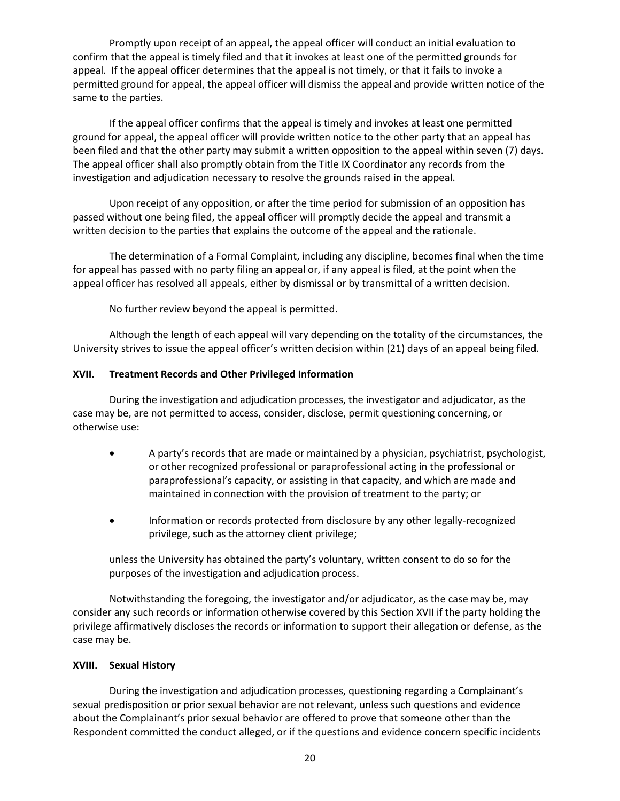Promptly upon receipt of an appeal, the appeal officer will conduct an initial evaluation to confirm that the appeal is timely filed and that it invokes at least one of the permitted grounds for appeal. If the appeal officer determines that the appeal is not timely, or that it fails to invoke a permitted ground for appeal, the appeal officer will dismiss the appeal and provide written notice of the same to the parties.

If the appeal officer confirms that the appeal is timely and invokes at least one permitted ground for appeal, the appeal officer will provide written notice to the other party that an appeal has been filed and that the other party may submit a written opposition to the appeal within seven (7) days. The appeal officer shall also promptly obtain from the Title IX Coordinator any records from the investigation and adjudication necessary to resolve the grounds raised in the appeal.

Upon receipt of any opposition, or after the time period for submission of an opposition has passed without one being filed, the appeal officer will promptly decide the appeal and transmit a written decision to the parties that explains the outcome of the appeal and the rationale.

The determination of a Formal Complaint, including any discipline, becomes final when the time for appeal has passed with no party filing an appeal or, if any appeal is filed, at the point when the appeal officer has resolved all appeals, either by dismissal or by transmittal of a written decision.

No further review beyond the appeal is permitted.

Although the length of each appeal will vary depending on the totality of the circumstances, the University strives to issue the appeal officer's written decision within (21) days of an appeal being filed.

### **XVII. Treatment Records and Other Privileged Information**

During the investigation and adjudication processes, the investigator and adjudicator, as the case may be, are not permitted to access, consider, disclose, permit questioning concerning, or otherwise use:

- A party's records that are made or maintained by a physician, psychiatrist, psychologist, or other recognized professional or paraprofessional acting in the professional or paraprofessional's capacity, or assisting in that capacity, and which are made and maintained in connection with the provision of treatment to the party; or
- Information or records protected from disclosure by any other legally-recognized privilege, such as the attorney client privilege;

unless the University has obtained the party's voluntary, written consent to do so for the purposes of the investigation and adjudication process.

Notwithstanding the foregoing, the investigator and/or adjudicator, as the case may be, may consider any such records or information otherwise covered by this Section XVII if the party holding the privilege affirmatively discloses the records or information to support their allegation or defense, as the case may be.

## **XVIII. Sexual History**

During the investigation and adjudication processes, questioning regarding a Complainant's sexual predisposition or prior sexual behavior are not relevant, unless such questions and evidence about the Complainant's prior sexual behavior are offered to prove that someone other than the Respondent committed the conduct alleged, or if the questions and evidence concern specific incidents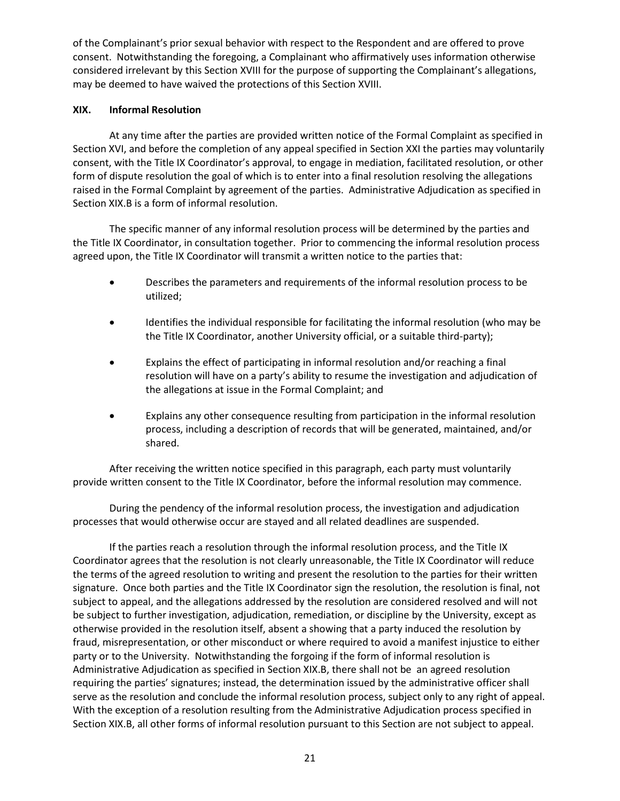of the Complainant's prior sexual behavior with respect to the Respondent and are offered to prove consent. Notwithstanding the foregoing, a Complainant who affirmatively uses information otherwise considered irrelevant by this Section XVIII for the purpose of supporting the Complainant's allegations, may be deemed to have waived the protections of this Section XVIII.

## **XIX. Informal Resolution**

At any time after the parties are provided written notice of the Formal Complaint as specified in Section XVI, and before the completion of any appeal specified in Section XXI the parties may voluntarily consent, with the Title IX Coordinator's approval, to engage in mediation, facilitated resolution, or other form of dispute resolution the goal of which is to enter into a final resolution resolving the allegations raised in the Formal Complaint by agreement of the parties. Administrative Adjudication as specified in Section XIX.B is a form of informal resolution.

The specific manner of any informal resolution process will be determined by the parties and the Title IX Coordinator, in consultation together. Prior to commencing the informal resolution process agreed upon, the Title IX Coordinator will transmit a written notice to the parties that:

- Describes the parameters and requirements of the informal resolution process to be utilized;
- Identifies the individual responsible for facilitating the informal resolution (who may be the Title IX Coordinator, another University official, or a suitable third-party);
- Explains the effect of participating in informal resolution and/or reaching a final resolution will have on a party's ability to resume the investigation and adjudication of the allegations at issue in the Formal Complaint; and
- Explains any other consequence resulting from participation in the informal resolution process, including a description of records that will be generated, maintained, and/or shared.

After receiving the written notice specified in this paragraph, each party must voluntarily provide written consent to the Title IX Coordinator, before the informal resolution may commence.

During the pendency of the informal resolution process, the investigation and adjudication processes that would otherwise occur are stayed and all related deadlines are suspended.

If the parties reach a resolution through the informal resolution process, and the Title IX Coordinator agrees that the resolution is not clearly unreasonable, the Title IX Coordinator will reduce the terms of the agreed resolution to writing and present the resolution to the parties for their written signature. Once both parties and the Title IX Coordinator sign the resolution, the resolution is final, not subject to appeal, and the allegations addressed by the resolution are considered resolved and will not be subject to further investigation, adjudication, remediation, or discipline by the University, except as otherwise provided in the resolution itself, absent a showing that a party induced the resolution by fraud, misrepresentation, or other misconduct or where required to avoid a manifest injustice to either party or to the University. Notwithstanding the forgoing if the form of informal resolution is Administrative Adjudication as specified in Section XIX.B, there shall not be an agreed resolution requiring the parties' signatures; instead, the determination issued by the administrative officer shall serve as the resolution and conclude the informal resolution process, subject only to any right of appeal. With the exception of a resolution resulting from the Administrative Adjudication process specified in Section XIX.B, all other forms of informal resolution pursuant to this Section are not subject to appeal.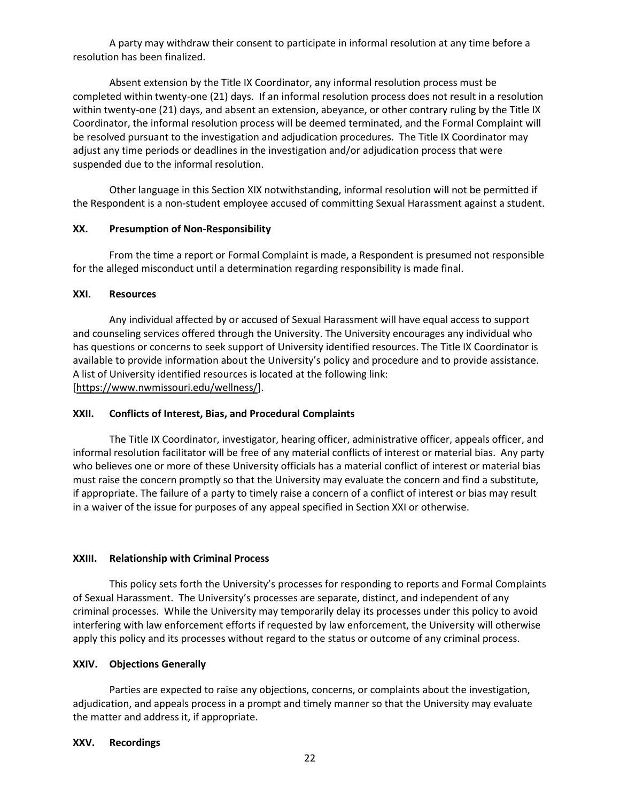A party may withdraw their consent to participate in informal resolution at any time before a resolution has been finalized.

Absent extension by the Title IX Coordinator, any informal resolution process must be completed within twenty-one (21) days. If an informal resolution process does not result in a resolution within twenty-one (21) days, and absent an extension, abeyance, or other contrary ruling by the Title IX Coordinator, the informal resolution process will be deemed terminated, and the Formal Complaint will be resolved pursuant to the investigation and adjudication procedures. The Title IX Coordinator may adjust any time periods or deadlines in the investigation and/or adjudication process that were suspended due to the informal resolution.

Other language in this Section XIX notwithstanding, informal resolution will not be permitted if the Respondent is a non-student employee accused of committing Sexual Harassment against a student.

### **XX. Presumption of Non-Responsibility**

From the time a report or Formal Complaint is made, a Respondent is presumed not responsible for the alleged misconduct until a determination regarding responsibility is made final.

### **XXI. Resources**

Any individual affected by or accused of Sexual Harassment will have equal access to support and counseling services offered through the University. The University encourages any individual who has questions or concerns to seek support of University identified resources. The Title IX Coordinator is available to provide information about the University's policy and procedure and to provide assistance. A list of University identified resources is located at the following link: [\[https://www.nwmissouri.edu/wellness/\]](https://www.nwmissouri.edu/wellness/).

#### **XXII. Conflicts of Interest, Bias, and Procedural Complaints**

The Title IX Coordinator, investigator, hearing officer, administrative officer, appeals officer, and informal resolution facilitator will be free of any material conflicts of interest or material bias. Any party who believes one or more of these University officials has a material conflict of interest or material bias must raise the concern promptly so that the University may evaluate the concern and find a substitute, if appropriate. The failure of a party to timely raise a concern of a conflict of interest or bias may result in a waiver of the issue for purposes of any appeal specified in Section XXI or otherwise.

## **XXIII. Relationship with Criminal Process**

This policy sets forth the University's processes for responding to reports and Formal Complaints of Sexual Harassment. The University's processes are separate, distinct, and independent of any criminal processes. While the University may temporarily delay its processes under this policy to avoid interfering with law enforcement efforts if requested by law enforcement, the University will otherwise apply this policy and its processes without regard to the status or outcome of any criminal process.

#### **XXIV. Objections Generally**

Parties are expected to raise any objections, concerns, or complaints about the investigation, adjudication, and appeals process in a prompt and timely manner so that the University may evaluate the matter and address it, if appropriate.

#### **XXV. Recordings**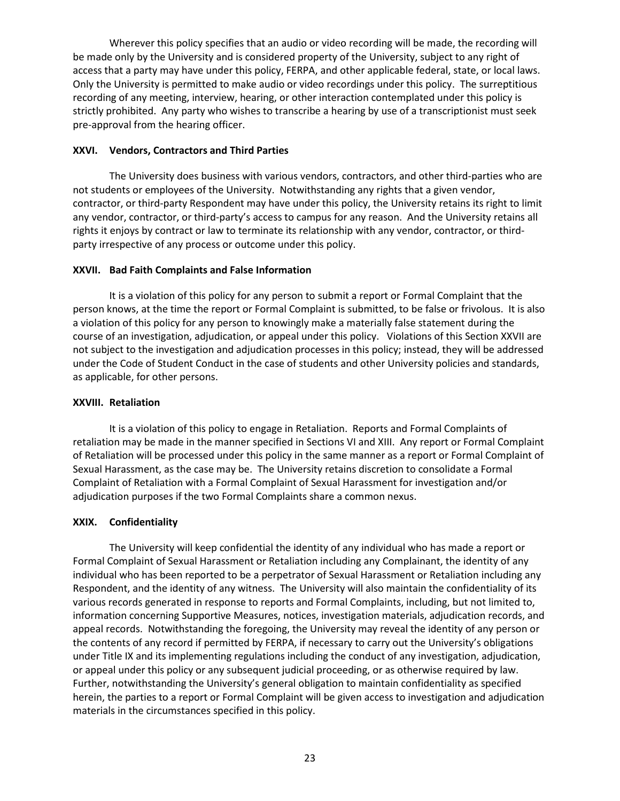Wherever this policy specifies that an audio or video recording will be made, the recording will be made only by the University and is considered property of the University, subject to any right of access that a party may have under this policy, FERPA, and other applicable federal, state, or local laws. Only the University is permitted to make audio or video recordings under this policy. The surreptitious recording of any meeting, interview, hearing, or other interaction contemplated under this policy is strictly prohibited. Any party who wishes to transcribe a hearing by use of a transcriptionist must seek pre-approval from the hearing officer.

## **XXVI. Vendors, Contractors and Third Parties**

The University does business with various vendors, contractors, and other third-parties who are not students or employees of the University. Notwithstanding any rights that a given vendor, contractor, or third-party Respondent may have under this policy, the University retains its right to limit any vendor, contractor, or third-party's access to campus for any reason. And the University retains all rights it enjoys by contract or law to terminate its relationship with any vendor, contractor, or thirdparty irrespective of any process or outcome under this policy.

## **XXVII. Bad Faith Complaints and False Information**

It is a violation of this policy for any person to submit a report or Formal Complaint that the person knows, at the time the report or Formal Complaint is submitted, to be false or frivolous. It is also a violation of this policy for any person to knowingly make a materially false statement during the course of an investigation, adjudication, or appeal under this policy. Violations of this Section XXVII are not subject to the investigation and adjudication processes in this policy; instead, they will be addressed under the Code of Student Conduct in the case of students and other University policies and standards, as applicable, for other persons.

#### **XXVIII. Retaliation**

It is a violation of this policy to engage in Retaliation. Reports and Formal Complaints of retaliation may be made in the manner specified in Sections VI and XIII. Any report or Formal Complaint of Retaliation will be processed under this policy in the same manner as a report or Formal Complaint of Sexual Harassment, as the case may be. The University retains discretion to consolidate a Formal Complaint of Retaliation with a Formal Complaint of Sexual Harassment for investigation and/or adjudication purposes if the two Formal Complaints share a common nexus.

## **XXIX. Confidentiality**

The University will keep confidential the identity of any individual who has made a report or Formal Complaint of Sexual Harassment or Retaliation including any Complainant, the identity of any individual who has been reported to be a perpetrator of Sexual Harassment or Retaliation including any Respondent, and the identity of any witness. The University will also maintain the confidentiality of its various records generated in response to reports and Formal Complaints, including, but not limited to, information concerning Supportive Measures, notices, investigation materials, adjudication records, and appeal records. Notwithstanding the foregoing, the University may reveal the identity of any person or the contents of any record if permitted by FERPA, if necessary to carry out the University's obligations under Title IX and its implementing regulations including the conduct of any investigation, adjudication, or appeal under this policy or any subsequent judicial proceeding, or as otherwise required by law. Further, notwithstanding the University's general obligation to maintain confidentiality as specified herein, the parties to a report or Formal Complaint will be given access to investigation and adjudication materials in the circumstances specified in this policy.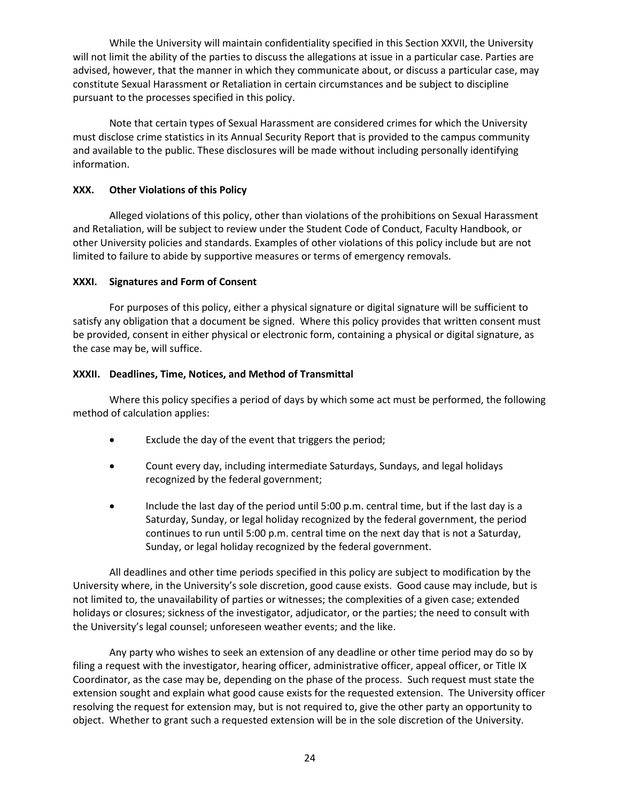While the University will maintain confidentiality specified in this Section XXVII, the University will not limit the ability of the parties to discuss the allegations at issue in a particular case. Parties are advised, however, that the manner in which they communicate about, or discuss a particular case, may constitute Sexual Harassment or Retaliation in certain circumstances and be subject to discipline pursuant to the processes specified in this policy.

Note that certain types of Sexual Harassment are considered crimes for which the University must disclose crime statistics in its Annual Security Report that is provided to the campus community and available to the public. These disclosures will be made without including personally identifying information.

## **XXX. Other Violations of this Policy**

Alleged violations of this policy, other than violations of the prohibitions on Sexual Harassment and Retaliation, will be subject to review under the Student Code of Conduct, Faculty Handbook, or other University policies and standards. Examples of other violations of this policy include but are not limited to failure to abide by supportive measures or terms of emergency removals.

## **XXXI. Signatures and Form of Consent**

For purposes of this policy, either a physical signature or digital signature will be sufficient to satisfy any obligation that a document be signed. Where this policy provides that written consent must be provided, consent in either physical or electronic form, containing a physical or digital signature, as the case may be, will suffice.

## **XXXII. Deadlines, Time, Notices, and Method of Transmittal**

Where this policy specifies a period of days by which some act must be performed, the following method of calculation applies:

- Exclude the day of the event that triggers the period;
- Count every day, including intermediate Saturdays, Sundays, and legal holidays recognized by the federal government;
- Include the last day of the period until 5:00 p.m. central time, but if the last day is a Saturday, Sunday, or legal holiday recognized by the federal government, the period continues to run until 5:00 p.m. central time on the next day that is not a Saturday, Sunday, or legal holiday recognized by the federal government.

All deadlines and other time periods specified in this policy are subject to modification by the University where, in the University's sole discretion, good cause exists. Good cause may include, but is not limited to, the unavailability of parties or witnesses; the complexities of a given case; extended holidays or closures; sickness of the investigator, adjudicator, or the parties; the need to consult with the University's legal counsel; unforeseen weather events; and the like.

Any party who wishes to seek an extension of any deadline or other time period may do so by filing a request with the investigator, hearing officer, administrative officer, appeal officer, or Title IX Coordinator, as the case may be, depending on the phase of the process. Such request must state the extension sought and explain what good cause exists for the requested extension. The University officer resolving the request for extension may, but is not required to, give the other party an opportunity to object. Whether to grant such a requested extension will be in the sole discretion of the University.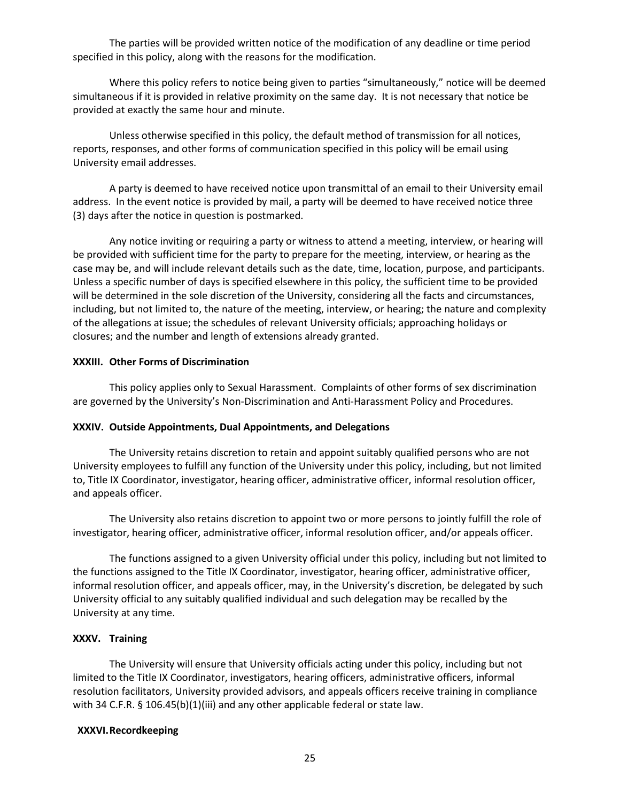The parties will be provided written notice of the modification of any deadline or time period specified in this policy, along with the reasons for the modification.

Where this policy refers to notice being given to parties "simultaneously," notice will be deemed simultaneous if it is provided in relative proximity on the same day. It is not necessary that notice be provided at exactly the same hour and minute.

Unless otherwise specified in this policy, the default method of transmission for all notices, reports, responses, and other forms of communication specified in this policy will be email using University email addresses.

A party is deemed to have received notice upon transmittal of an email to their University email address. In the event notice is provided by mail, a party will be deemed to have received notice three (3) days after the notice in question is postmarked.

Any notice inviting or requiring a party or witness to attend a meeting, interview, or hearing will be provided with sufficient time for the party to prepare for the meeting, interview, or hearing as the case may be, and will include relevant details such as the date, time, location, purpose, and participants. Unless a specific number of days is specified elsewhere in this policy, the sufficient time to be provided will be determined in the sole discretion of the University, considering all the facts and circumstances, including, but not limited to, the nature of the meeting, interview, or hearing; the nature and complexity of the allegations at issue; the schedules of relevant University officials; approaching holidays or closures; and the number and length of extensions already granted.

### **XXXIII. Other Forms of Discrimination**

This policy applies only to Sexual Harassment. Complaints of other forms of sex discrimination are governed by the University's Non-Discrimination and Anti-Harassment Policy and Procedures.

#### **XXXIV. Outside Appointments, Dual Appointments, and Delegations**

The University retains discretion to retain and appoint suitably qualified persons who are not University employees to fulfill any function of the University under this policy, including, but not limited to, Title IX Coordinator, investigator, hearing officer, administrative officer, informal resolution officer, and appeals officer.

The University also retains discretion to appoint two or more persons to jointly fulfill the role of investigator, hearing officer, administrative officer, informal resolution officer, and/or appeals officer.

The functions assigned to a given University official under this policy, including but not limited to the functions assigned to the Title IX Coordinator, investigator, hearing officer, administrative officer, informal resolution officer, and appeals officer, may, in the University's discretion, be delegated by such University official to any suitably qualified individual and such delegation may be recalled by the University at any time.

#### **XXXV. Training**

The University will ensure that University officials acting under this policy, including but not limited to the Title IX Coordinator, investigators, hearing officers, administrative officers, informal resolution facilitators, University provided advisors, and appeals officers receive training in compliance with 34 C.F.R. § 106.45(b)(1)(iii) and any other applicable federal or state law.

#### **XXXVI.Recordkeeping**